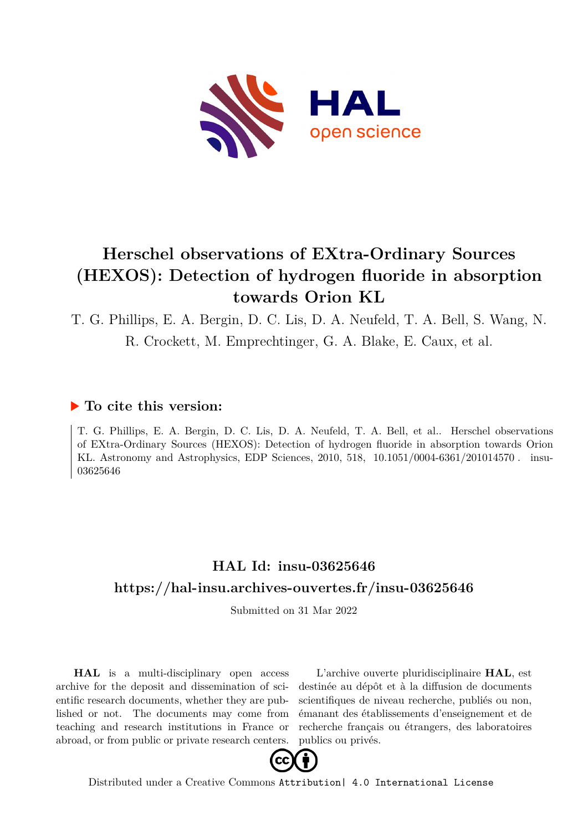

# **Herschel observations of EXtra-Ordinary Sources (HEXOS): Detection of hydrogen fluoride in absorption towards Orion KL**

T. G. Phillips, E. A. Bergin, D. C. Lis, D. A. Neufeld, T. A. Bell, S. Wang, N.

R. Crockett, M. Emprechtinger, G. A. Blake, E. Caux, et al.

## **To cite this version:**

T. G. Phillips, E. A. Bergin, D. C. Lis, D. A. Neufeld, T. A. Bell, et al.. Herschel observations of EXtra-Ordinary Sources (HEXOS): Detection of hydrogen fluoride in absorption towards Orion KL. Astronomy and Astrophysics, EDP Sciences, 2010, 518, 10.1051/0004-6361/201014570. insu-03625646

# **HAL Id: insu-03625646 <https://hal-insu.archives-ouvertes.fr/insu-03625646>**

Submitted on 31 Mar 2022

**HAL** is a multi-disciplinary open access archive for the deposit and dissemination of scientific research documents, whether they are published or not. The documents may come from teaching and research institutions in France or abroad, or from public or private research centers.

L'archive ouverte pluridisciplinaire **HAL**, est destinée au dépôt et à la diffusion de documents scientifiques de niveau recherche, publiés ou non, émanant des établissements d'enseignement et de recherche français ou étrangers, des laboratoires publics ou privés.



Distributed under a Creative Commons [Attribution| 4.0 International License](http://creativecommons.org/licenses/by/4.0/)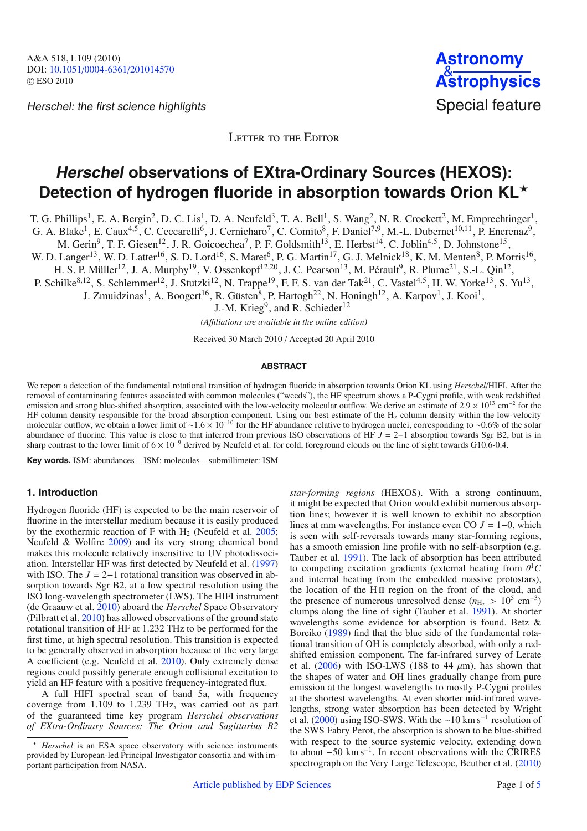Herschel: the first science highlights Special feature



LETTER TO THE EDITOR

# **Herschel observations of EXtra-Ordinary Sources (HEXOS):** Detection of hydrogen fluoride in absorption towards Orion KL<sup>\*</sup>

T. G. Phillips<sup>1</sup>, E. A. Bergin<sup>2</sup>, D. C. Lis<sup>1</sup>, D. A. Neufeld<sup>3</sup>, T. A. Bell<sup>1</sup>, S. Wang<sup>2</sup>, N. R. Crockett<sup>2</sup>, M. Emprechtinger<sup>1</sup>,

G. A. Blake<sup>1</sup>, E. Caux<sup>4,5</sup>, C. Ceccarelli<sup>6</sup>, J. Cernicharo<sup>7</sup>, C. Comito<sup>8</sup>, F. Daniel<sup>7,9</sup>, M.-L. Dubernet<sup>10,11</sup>, P. Encrenaz<sup>9</sup>,

M. Gerin<sup>9</sup>, T. F. Giesen<sup>12</sup>, J. R. Goicoechea<sup>7</sup>, P. F. Goldsmith<sup>13</sup>, E. Herbst<sup>14</sup>, C. Joblin<sup>4,5</sup>, D. Johnstone<sup>15</sup>,

W. D. Langer<sup>13</sup>, W. D. Latter<sup>16</sup>, S. D. Lord<sup>16</sup>, S. Maret<sup>6</sup>, P. G. Martin<sup>17</sup>, G. J. Melnick<sup>18</sup>, K. M. Menten<sup>8</sup>, P. Morris<sup>16</sup>,

H. S. P. Müller<sup>12</sup>, J. A. Murphy<sup>19</sup>, V. Ossenkopf<sup>12,20</sup>, J. C. Pearson<sup>13</sup>, M. Pérault<sup>9</sup>, R. Plume<sup>21</sup>, S.-L. Qin<sup>12</sup>,

P. Schilke<sup>8,12</sup>, S. Schlemmer<sup>12</sup>, J. Stutzki<sup>12</sup>, N. Trappe<sup>19</sup>, F. F. S. van der Tak<sup>21</sup>, C. Vastel<sup>4,5</sup>, H. W. Yorke<sup>13</sup>, S. Yu<sup>13</sup>,

J. Zmuidzinas<sup>1</sup>, A. Boogert<sup>16</sup>, R. Güsten<sup>8</sup>, P. Hartogh<sup>22</sup>, N. Honingh<sup>12</sup>, A. Karpov<sup>1</sup>, J. Kooi<sup>1</sup>,

J.-M. Krieg<sup>9</sup>, and R. Schieder<sup>12</sup>

*(A*ffi*liations are available in the online edition)*

Received 30 March 2010 / Accepted 20 April 2010

#### **ABSTRACT**

We report a detection of the fundamental rotational transition of hydrogen fluoride in absorption towards Orion KL using *Herschel*/HIFI. After the removal of contaminating features associated with common molecules ("weeds"), the HF spectrum shows a P-Cygni profile, with weak redshifted emission and strong blue-shifted absorption, associated with the low-velocity molecular outflow. We derive an estimate of  $2.9 \times 10^{13}$  cm<sup>-2</sup> for the HF column density responsible for the broad absorption component. Using our best estimate of the  $H_2$  column density within the low-velocity molecular outflow, we obtain a lower limit of ~1.6 × 10<sup>-10</sup> for the HF abundance relative to hydrogen nuclei, corresponding to ~0.6% of the solar abundance of fluorine. This value is close to that inferred from previous ISO observations of HF *J* = 2−1 absorption towards Sgr B2, but is in sharp contrast to the lower limit of  $6 \times 10^{-9}$  derived by Neufeld et al. for cold, foreground clouds on the line of sight towards G10.6-0.4.

**Key words.** ISM: abundances – ISM: molecules – submillimeter: ISM

#### **1. Introduction**

Hydrogen fluoride (HF) is expected to be the main reservoir of fluorine in the interstellar medium because it is easily produced by the exothermic reaction of F with  $H<sub>2</sub>$  (Neufeld et al. 2005; Neufeld & Wolfire 2009) and its very strong chemical bond makes this molecule relatively insensitive to UV photodissociation. Interstellar HF was first detected by Neufeld et al. (1997) with ISO. The  $J = 2-1$  rotational transition was observed in absorption towards Sgr B2, at a low spectral resolution using the ISO long-wavelength spectrometer (LWS). The HIFI instrument (de Graauw et al. 2010) aboard the *Herschel* Space Observatory (Pilbratt et al. 2010) has allowed observations of the ground state rotational transition of HF at 1.232 THz to be performed for the first time, at high spectral resolution. This transition is expected to be generally observed in absorption because of the very large A coefficient (e.g. Neufeld et al. 2010). Only extremely dense regions could possibly generate enough collisional excitation to yield an HF feature with a positive frequency-integrated flux.

A full HIFI spectral scan of band 5a, with frequency coverage from 1.109 to 1.239 THz, was carried out as part of the guaranteed time key program *Herschel observations of EXtra-Ordinary Sources: The Orion and Sagittarius B2*

*star-forming regions* (HEXOS). With a strong continuum, it might be expected that Orion would exhibit numerous absorption lines; however it is well known to exhibit no absorption lines at mm wavelengths. For instance even CO *J* = 1−0, which is seen with self-reversals towards many star-forming regions, has a smooth emission line profile with no self-absorption (e.g. Tauber et al. 1991). The lack of absorption has been attributed to competing excitation gradients (external heating from  $\theta^1 C$ and internal heating from the embedded massive protostars), the location of the H<sub>II</sub> region on the front of the cloud, and the presence of numerous unresolved dense  $(n_{\text{H}_2} > 10^5 \text{ cm}^{-3})$ clumps along the line of sight (Tauber et al. 1991). At shorter wavelengths some evidence for absorption is found. Betz & Boreiko (1989) find that the blue side of the fundamental rotational transition of OH is completely absorbed, with only a redshifted emission component. The far-infrared survey of Lerate et al.  $(2006)$  with ISO-LWS (188 to 44  $\mu$ m), has shown that the shapes of water and OH lines gradually change from pure emission at the longest wavelengths to mostly P-Cygni profiles at the shortest wavelengths. At even shorter mid-infrared wavelengths, strong water absorption has been detected by Wright et al. (2000) using ISO-SWS. With the ∼10 km s<sup>-1</sup> resolution of the SWS Fabry Perot, the absorption is shown to be blue-shifted with respect to the source systemic velocity, extending down to about  $-50 \text{ km s}^{-1}$ . In recent observations with the CRIRES spectrograph on the Very Large Telescope, Beuther et al. (2010)

<sup>-</sup> *Herschel* is an ESA space observatory with science instruments provided by European-led Principal Investigator consortia and with important participation from NASA.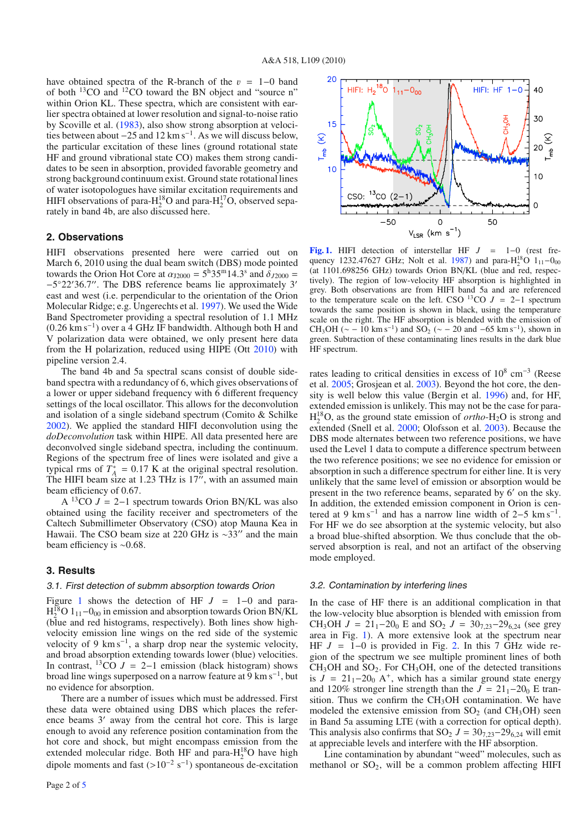have obtained spectra of the R-branch of the  $v = 1-0$  band of both 13CO and 12CO toward the BN object and "source n" within Orion KL. These spectra, which are consistent with earlier spectra obtained at lower resolution and signal-to-noise ratio by Scoville et al. (1983), also show strong absorption at velocities between about  $-25$  and  $12 \text{ km s}^{-1}$ . As we will discuss below, the particular excitation of these lines (ground rotational state HF and ground vibrational state CO) makes them strong candidates to be seen in absorption, provided favorable geometry and strong background continuum exist. Ground state rotational lines of water isotopologues have similar excitation requirements and HIFI observations of para- $H_2^{18}O$  and para- $H_2^{17}O$ , observed separately in band 4b, are also discussed here.

#### **2. Observations**

HIFI observations presented here were carried out on March 6, 2010 using the dual beam switch (DBS) mode pointed towards the Orion Hot Core at  $\alpha_{J2000} = 5^{\text{h}}35^{\text{m}}14.3^{\text{s}}$  and  $\delta_{J2000} =$ −5◦22 36.7. The DBS reference beams lie approximately 3 east and west (i.e. perpendicular to the orientation of the Orion Molecular Ridge; e.g. Ungerechts et al. 1997). We used the Wide Band Spectrometer providing a spectral resolution of 1.1 MHz (0.26 km s−1) over a 4 GHz IF bandwidth. Although both H and V polarization data were obtained, we only present here data from the H polarization, reduced using HIPE (Ott 2010) with pipeline version 2.4.

The band 4b and 5a spectral scans consist of double sideband spectra with a redundancy of 6, which gives observations of a lower or upper sideband frequency with 6 different frequency settings of the local oscillator. This allows for the deconvolution and isolation of a single sideband spectrum (Comito & Schilke 2002). We applied the standard HIFI deconvolution using the *doDeconvolution* task within HIPE. All data presented here are deconvolved single sideband spectra, including the continuum. Regions of the spectrum free of lines were isolated and give a typical rms of  $T_A^* = 0.17$  K at the original spectral resolution. The HIFI beam size at 1.23 THz is  $17^{\prime\prime}$ , with an assumed main beam efficiency of 0.67.

A <sup>13</sup>CO  $J = 2-1$  spectrum towards Orion BN/KL was also obtained using the facility receiver and spectrometers of the Caltech Submillimeter Observatory (CSO) atop Mauna Kea in Hawaii. The CSO beam size at 220 GHz is ~33″ and the main beam efficiency is ∼0.68.

### **3. Results**

#### 3.1. First detection of submm absorption towards Orion

Figure 1 shows the detection of HF  $J = 1-0$  and para- $H_2^{18}$ O 1<sub>11</sub>-0<sub>00</sub> in emission and absorption towards Orion BN/KL (blue and red histograms, respectively). Both lines show highvelocity emission line wings on the red side of the systemic velocity of 9 km s<sup> $-1$ </sup>, a sharp drop near the systemic velocity, and broad absorption extending towards lower (blue) velocities. In contrast,  $13\text{CO}$  *J* = 2–1 emission (black histogram) shows broad line wings superposed on a narrow feature at  $9 \text{ km s}^{-1}$ , but no evidence for absorption.

There are a number of issues which must be addressed. First these data were obtained using DBS which places the reference beams 3' away from the central hot core. This is large enough to avoid any reference position contamination from the hot core and shock, but might encompass emission from the extended molecular ridge. Both HF and para- $H_2^{18}O$  have high dipole moments and fast  $(>10^{-2} \text{ s}^{-1})$  spontaneous de-excitation



**[Fig. 1.](http://dexter.edpsciences.org/applet.php?DOI=10.1051/0004-6361/201014570&pdf_id=1)** HIFI detection of interstellar HF *J* = 1−0 (rest frequency 1232.47627 GHz; Nolt et al. 1987) and para-H<sub>2</sub><sup>8</sup>O 1<sub>11</sub>-0<sub>00</sub> (at 1101.698256 GHz) towards Orion BN/KL (blue and red, respectively). The region of low-velocity HF absorption is highlighted in grey. Both observations are from HIFI band 5a and are referenced to the temperature scale on the left. CSO  $13$ CO  $J = 2-1$  spectrum towards the same position is shown in black, using the temperature scale on the right. The HF absorption is blended with the emission of CH<sub>3</sub>OH ( $\sim$  – 10 km s<sup>-1</sup>) and SO<sub>2</sub> ( $\sim$  – 20 and –65 km s<sup>-1</sup>), shown in green. Subtraction of these contaminating lines results in the dark blue HF spectrum.

rates leading to critical densities in excess of  $10^8$  cm<sup>-3</sup> (Reese et al. 2005; Grosjean et al. 2003). Beyond the hot core, the density is well below this value (Bergin et al. 1996) and, for HF, extended emission is unlikely. This may not be the case for para-H<sup>18</sup> <sup>2</sup> O, as the ground state emission of *ortho*-H2O is strong and extended (Snell et al. 2000; Olofsson et al. 2003). Because the DBS mode alternates between two reference positions, we have used the Level 1 data to compute a difference spectrum between the two reference positions; we see no evidence for emission or absorption in such a difference spectrum for either line. It is very unlikely that the same level of emission or absorption would be present in the two reference beams, separated by 6' on the sky. In addition, the extended emission component in Orion is centered at 9 km s<sup>-1</sup> and has a narrow line width of 2–5 km s<sup>-1</sup>. For HF we do see absorption at the systemic velocity, but also a broad blue-shifted absorption. We thus conclude that the observed absorption is real, and not an artifact of the observing mode employed.

#### 3.2. Contamination by interfering lines

In the case of HF there is an additional complication in that the low-velocity blue absorption is blended with emission from CH<sub>3</sub>OH  $J = 21_1 - 20_0$  E and SO<sub>2</sub>  $J = 30_{7,23} - 29_{6,24}$  (see grey area in Fig. 1). A more extensive look at the spectrum near HF *J* = 1−0 is provided in Fig. 2. In this 7 GHz wide region of the spectrum we see multiple prominent lines of both  $CH<sub>3</sub>OH$  and  $SO<sub>2</sub>$ . For  $CH<sub>3</sub>OH$ , one of the detected transitions is  $J = 21<sub>1</sub> - 20<sub>0</sub>$  A<sup>+</sup>, which has a similar ground state energy and 120% stronger line strength than the  $J = 21<sub>1</sub> - 20<sub>0</sub>$  E transition. Thus we confirm the CH<sub>3</sub>OH contamination. We have modeled the extensive emission from  $SO<sub>2</sub>$  (and  $CH<sub>3</sub>OH$ ) seen in Band 5a assuming LTE (with a correction for optical depth). This analysis also confirms that  $SO_2$  *J* =  $30_{7,23}$  -  $29_{6,24}$  will emit at appreciable levels and interfere with the HF absorption.

Line contamination by abundant "weed" molecules, such as methanol or  $SO_2$ , will be a common problem affecting HIFI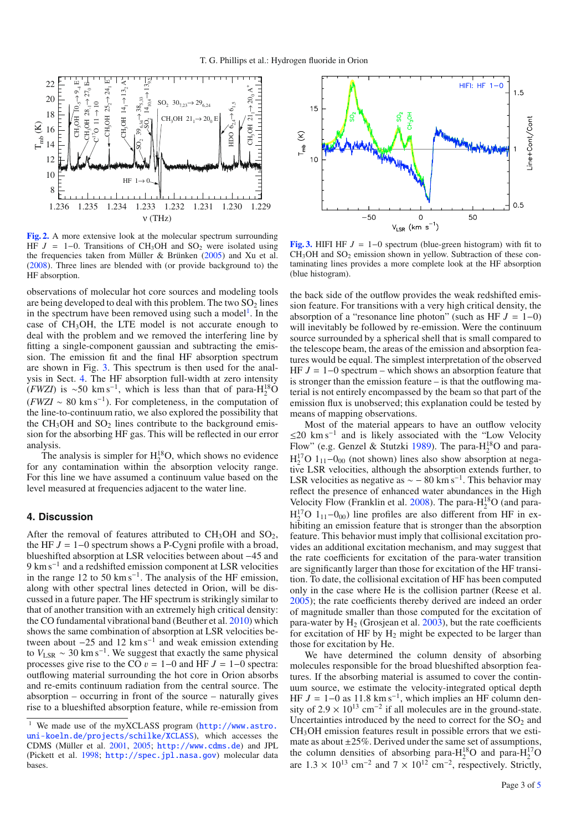

**[Fig. 2.](http://dexter.edpsciences.org/applet.php?DOI=10.1051/0004-6361/201014570&pdf_id=2)** A more extensive look at the molecular spectrum surrounding HF  $J = 1-0$ . Transitions of CH<sub>3</sub>OH and SO<sub>2</sub> were isolated using the frequencies taken from Müller & Brünken (2005) and Xu et al. (2008). Three lines are blended with (or provide background to) the HF absorption.

observations of molecular hot core sources and modeling tools are being developed to deal with this problem. The two  $SO_2$  lines in the spectrum have been removed using such a model<sup>1</sup>. In the case of CH3OH, the LTE model is not accurate enough to deal with the problem and we removed the interfering line by fitting a single-component gaussian and subtracting the emission. The emission fit and the final HF absorption spectrum are shown in Fig. 3. This spectrum is then used for the analysis in Sect. 4. The HF absorption full-width at zero intensity  $(FWZI)$  is ~50 km s<sup>-1</sup>, which is less than that of para-H<sub>2</sub><sup>18</sup>O  $(FWZI \sim 80 \text{ km s}^{-1})$ . For completeness, in the computation of the line-to-continuum ratio, we also explored the possibility that the  $CH<sub>3</sub>OH$  and  $SO<sub>2</sub>$  lines contribute to the background emission for the absorbing HF gas. This will be reflected in our error analysis.

The analysis is simpler for  $H_2^{18}O$ , which shows no evidence for any contamination within the absorption velocity range. For this line we have assumed a continuum value based on the level measured at frequencies adjacent to the water line.

### **4. Discussion**

After the removal of features attributed to  $CH<sub>3</sub>OH$  and  $SO<sub>2</sub>$ , the HF *J* = 1−0 spectrum shows a P-Cygni profile with a broad, blueshifted absorption at LSR velocities between about −45 and 9 km s<sup>-1</sup> and a redshifted emission component at LSR velocities in the range 12 to 50 km s<sup> $-1$ </sup>. The analysis of the HF emission, along with other spectral lines detected in Orion, will be discussed in a future paper. The HF spectrum is strikingly similar to that of another transition with an extremely high critical density: the CO fundamental vibrational band (Beuther et al. 2010) which shows the same combination of absorption at LSR velocities between about  $-25$  and 12 km s<sup>-1</sup> and weak emission extending to  $V_{LSR} \sim 30 \text{ km s}^{-1}$ . We suggest that exactly the same physical processes give rise to the CO  $v = 1-0$  and HF  $J = 1-0$  spectra: outflowing material surrounding the hot core in Orion absorbs and re-emits continuum radiation from the central source. The absorption – occurring in front of the source – naturally gives rise to a blueshifted absorption feature, while re-emission from



**[Fig. 3.](http://dexter.edpsciences.org/applet.php?DOI=10.1051/0004-6361/201014570&pdf_id=3)** HIFI HF  $J = 1-0$  spectrum (blue-green histogram) with fit to  $CH<sub>3</sub>OH$  and  $SO<sub>2</sub>$  emission shown in yellow. Subtraction of these contaminating lines provides a more complete look at the HF absorption (blue histogram).

the back side of the outflow provides the weak redshifted emission feature. For transitions with a very high critical density, the absorption of a "resonance line photon" (such as  $HF J = 1-0$ ) will inevitably be followed by re-emission. Were the continuum source surrounded by a spherical shell that is small compared to the telescope beam, the areas of the emission and absorption features would be equal. The simplest interpretation of the observed HF *J* = 1−0 spectrum – which shows an absorption feature that is stronger than the emission feature – is that the outflowing material is not entirely encompassed by the beam so that part of the emission flux is unobserved; this explanation could be tested by means of mapping observations.

Most of the material appears to have an outflow velocity ≤20 km s−<sup>1</sup> and is likely associated with the "Low Velocity Flow" (e.g. Genzel & Stutzki 1989). The para- $H_2^{18}O$  and para- $H_2^{17}O_{111}$  -  $0_{00}$  (not shown) lines also show absorption at negative LSR velocities, although the absorption extends further, to LSR velocities as negative as  $\sim$  − 80 km s<sup>-1</sup>. This behavior may reflect the presence of enhanced water abundances in the High Velocity Flow (Franklin et al. 2008). The para- $H_2^{18}O$  (and para- $H_2^{17}O$  1<sub>11</sub>-0<sub>00</sub>) line profiles are also different from HF in exhibiting an emission feature that is stronger than the absorption feature. This behavior must imply that collisional excitation provides an additional excitation mechanism, and may suggest that the rate coefficients for excitation of the para-water transition are significantly larger than those for excitation of the HF transition. To date, the collisional excitation of HF has been computed only in the case where He is the collision partner (Reese et al. 2005); the rate coefficients thereby derived are indeed an order of magnitude smaller than those computed for the excitation of para-water by  $H<sub>2</sub>$  (Grosjean et al. 2003), but the rate coefficients for excitation of HF by  $H_2$  might be expected to be larger than those for excitation by He.

We have determined the column density of absorbing molecules responsible for the broad blueshifted absorption features. If the absorbing material is assumed to cover the continuum source, we estimate the velocity-integrated optical depth HF  $J = 1-0$  as 11.8 km s<sup>-1</sup>, which implies an HF column density of 2.9  $\times$  10<sup>13</sup> cm<sup>-2</sup> if all molecules are in the ground-state. Uncertainties introduced by the need to correct for the  $SO<sub>2</sub>$  and CH3OH emission features result in possible errors that we estimate as about  $\pm 25\%$ . Derived under the same set of assumptions, the column densities of absorbing para- $H_2^{18}O$  and para- $H_2^{17}O$ are  $1.3 \times 10^{13}$  cm<sup>-2</sup> and  $7 \times 10^{12}$  cm<sup>-2</sup>, respectively. Strictly,

We made use of the myXCLASS program ([http://www.astro.](http://www.astro.uni-koeln.de/projects/schilke/XCLASS) [uni-koeln.de/projects/schilke/XCLASS](http://www.astro.uni-koeln.de/projects/schilke/XCLASS)), which accesses the CDMS (Müller et al. 2001, 2005; <http://www.cdms.de>) and JPL (Pickett et al. 1998; <http://spec.jpl.nasa.gov>) molecular data bases.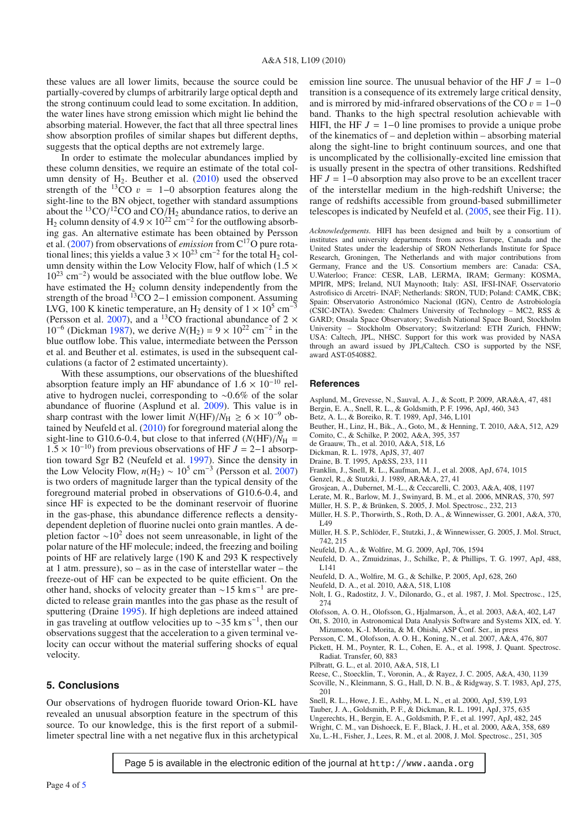these values are all lower limits, because the source could be partially-covered by clumps of arbitrarily large optical depth and the strong continuum could lead to some excitation. In addition, the water lines have strong emission which might lie behind the absorbing material. However, the fact that all three spectral lines show absorption profiles of similar shapes but different depths, suggests that the optical depths are not extremely large.

In order to estimate the molecular abundances implied by these column densities, we require an estimate of the total column density of  $H_2$ . Beuther et al.  $(2010)$  used the observed strength of the <sup>13</sup>CO  $v = 1-0$  absorption features along the sight-line to the BN object, together with standard assumptions about the  $^{13}$ CO/ $^{12}$ CO and CO/ $H_2$  abundance ratios, to derive an H<sub>2</sub> column density of  $4.9 \times 10^{22}$  cm<sup>-2</sup> for the outflowing absorbing gas. An alternative estimate has been obtained by Persson et al. (2007) from observations of *emission* from C17O pure rotational lines; this yields a value  $3 \times 10^{23}$  cm<sup>-2</sup> for the total H<sub>2</sub> column density within the Low Velocity Flow, half of which  $(1.5 \times$  $10^{23}$  cm<sup>-2</sup>) would be associated with the blue outflow lobe. We have estimated the  $H_2$  column density independently from the strength of the broad  $^{13}$ CO 2−1 emission component. Assuming LVG, 100 K kinetic temperature, an H<sub>2</sub> density of  $1 \times 10^5$  cm<sup>-3</sup> (Persson et al. 2007), and a <sup>13</sup>CO fractional abundance of 2  $\times$ 10<sup>-6</sup> (Dickman 1987), we derive  $N(H_2) = 9 \times 10^{22}$  cm<sup>-2</sup> in the blue outflow lobe. This value, intermediate between the Persson et al. and Beuther et al. estimates, is used in the subsequent calculations (a factor of 2 estimated uncertainty).

With these assumptions, our observations of the blueshifted absorption feature imply an HF abundance of  $1.6 \times 10^{-10}$  relative to hydrogen nuclei, corresponding to ∼0.6% of the solar abundance of fluorine (Asplund et al. 2009). This value is in sharp contrast with the lower limit  $N(HF)/N_H \ge 6 \times 10^{-9}$  obtained by Neufeld et al. (2010) for foreground material along the sight-line to G10.6-0.4, but close to that inferred  $(N(HF)/N_H =$  $1.5 \times 10^{-10}$ ) from previous observations of HF  $J = 2-1$  absorption toward Sgr B2 (Neufeld et al. 1997). Since the density in the Low Velocity Flow,  $n(H_2) \sim 10^5$  cm<sup>-3</sup> (Persson et al. 2007) is two orders of magnitude larger than the typical density of the foreground material probed in observations of G10.6-0.4, and since HF is expected to be the dominant reservoir of fluorine in the gas-phase, this abundance difference reflects a densitydependent depletion of fluorine nuclei onto grain mantles. A depletion factor  $\sim$ 10<sup>2</sup> does not seem unreasonable, in light of the polar nature of the HF molecule; indeed, the freezing and boiling points of HF are relatively large (190 K and 293 K respectively at 1 atm. pressure), so – as in the case of interstellar water – the freeze-out of HF can be expected to be quite efficient. On the other hand, shocks of velocity greater than ∼15 km s−<sup>1</sup> are predicted to release grain mantles into the gas phase as the result of sputtering (Draine 1995). If high depletions are indeed attained in gas traveling at outflow velocities up to ~35 km s<sup>-1</sup>, then our observations suggest that the acceleration to a given terminal velocity can occur without the material suffering shocks of equal velocity.

### **5. Conclusions**

Our observations of hydrogen fluoride toward Orion-KL have revealed an unusual absorption feature in the spectrum of this source. To our knowledge, this is the first report of a submillimeter spectral line with a net negative flux in this archetypical emission line source. The unusual behavior of the HF  $J = 1-0$ transition is a consequence of its extremely large critical density, and is mirrored by mid-infrared observations of the CO  $v = 1-0$ band. Thanks to the high spectral resolution achievable with HIFI, the HF  $J = 1-0$  line promises to provide a unique probe of the kinematics of – and depletion within – absorbing material along the sight-line to bright continuum sources, and one that is uncomplicated by the collisionally-excited line emission that is usually present in the spectra of other transitions. Redshifted HF *J* = 1−0 absorption may also prove to be an excellent tracer of the interstellar medium in the high-redshift Universe; the range of redshifts accessible from ground-based submillimeter telescopes is indicated by Neufeld et al. (2005, see their Fig. 11).

*Acknowledgements.* HIFI has been designed and built by a consortium of institutes and university departments from across Europe, Canada and the United States under the leadership of SRON Netherlands Institute for Space Research, Groningen, The Netherlands and with major contributions from Germany, France and the US. Consortium members are: Canada: CSA, U.Waterloo; France: CESR, LAB, LERMA, IRAM; Germany: KOSMA, MPIfR, MPS; Ireland, NUI Maynooth; Italy: ASI, IFSI-INAF, Osservatorio Astrofisico di Arcetri- INAF; Netherlands: SRON, TUD; Poland: CAMK, CBK; Spain: Observatorio Astronómico Nacional (IGN), Centro de Astrobiología (CSIC-INTA). Sweden: Chalmers University of Technology – MC2, RSS & GARD; Onsala Space Observatory; Swedish National Space Board, Stockholm University – Stockholm Observatory; Switzerland: ETH Zurich, FHNW; USA: Caltech, JPL, NHSC. Support for this work was provided by NASA through an award issued by JPL/Caltech. CSO is supported by the NSF, award AST-0540882.

#### **References**

- Asplund, M., Grevesse, N., Sauval, A. J., & Scott, P. 2009, ARA&A, 47, 481
- Bergin, E. A., Snell, R. L., & Goldsmith, P. F. 1996, ApJ, 460, 343
- Betz, A. L., & Boreiko, R. T. 1989, ApJ, 346, L101
- Beuther, H., Linz, H., Bik., A., Goto, M., & Henning, T. 2010, A&A, 512, A29
- Comito, C., & Schilke, P. 2002, A&A, 395, 357
- de Graauw, Th., et al. 2010, A&A, 518, L6
- Dickman, R. L. 1978, ApJS, 37, 407
- Draine, B. T. 1995, Ap&SS, 233, 111
- Franklin, J., Snell, R. L., Kaufman, M. J., et al. 2008, ApJ, 674, 1015
- Genzel, R., & Stutzki, J. 1989, ARA&A, 27, 41
- Grosjean, A., Dubernet, M.-L., & Ceccarelli, C. 2003, A&A, 408, 1197
- Lerate, M. R., Barlow, M. J., Swinyard, B. M., et al. 2006, MNRAS, 370, 597
- Müller, H. S. P., & Brünken, S. 2005, J. Mol. Spectrosc., 232, 213
- Müller, H. S. P., Thorwirth, S., Roth, D. A., & Winnewisser, G. 2001, A&A, 370, L49
- Müller, H. S. P., Schlöder, F., Stutzki, J., & Winnewisser, G. 2005, J. Mol. Struct, 742, 215
- Neufeld, D. A., & Wolfire, M. G. 2009, ApJ, 706, 1594
- Neufeld, D. A., Zmuidzinas, J., Schilke, P., & Phillips, T. G. 1997, ApJ, 488, L141
- Neufeld, D. A., Wolfire, M. G., & Schilke, P. 2005, ApJ, 628, 260
- Neufeld, D. A., et al. 2010, A&A, 518, L108
- Nolt, I. G., Radostitz, J. V., Dilonardo, G., et al. 1987, J. Mol. Spectrosc., 125,
- 274
- Olofsson, A. O. H., Olofsson, G., Hjalmarson, Å., et al. 2003, A&A, 402, L47
- Ott, S. 2010, in Astronomical Data Analysis Software and Systems XIX, ed. Y. Mizumoto, K.-I. Morita, & M. Ohishi, ASP Conf. Ser., in press
- Persson, C. M., Olofsson, A. O. H., Koning, N., et al. 2007, A&A, 476, 807
- Pickett, H. M., Poynter, R. L., Cohen, E. A., et al. 1998, J. Quant. Spectrosc. Radiat. Transfer, 60, 883
- Pilbratt, G. L., et al. 2010, A&A, 518, L1
- Reese, C., Stoecklin, T., Voronin, A., & Rayez, J. C. 2005, A&A, 430, 1139
- Scoville, N., Kleinmann, S. G., Hall, D. N. B., & Ridgway, S. T. 1983, ApJ, 275, 201
- Snell, R. L., Howe, J. E., Ashby, M. L. N., et al. 2000, ApJ, 539, L93
- Tauber, J. A., Goldsmith, P. F., & Dickman, R. L. 1991, ApJ, 375, 635
- Ungerechts, H., Bergin, E. A., Goldsmith, P. F., et al. 1997, ApJ, 482, 245 Wright, C. M., van Dishoeck, E. F., Black, J. H., et al. 2000, A&A, 358, 689
- Xu, L.-H., Fisher, J., Lees, R. M., et al. 2008, J. Mol. Spectrosc., 251, 305

Page 5 is available in the electronic edition of the journal at http://www.aanda.org